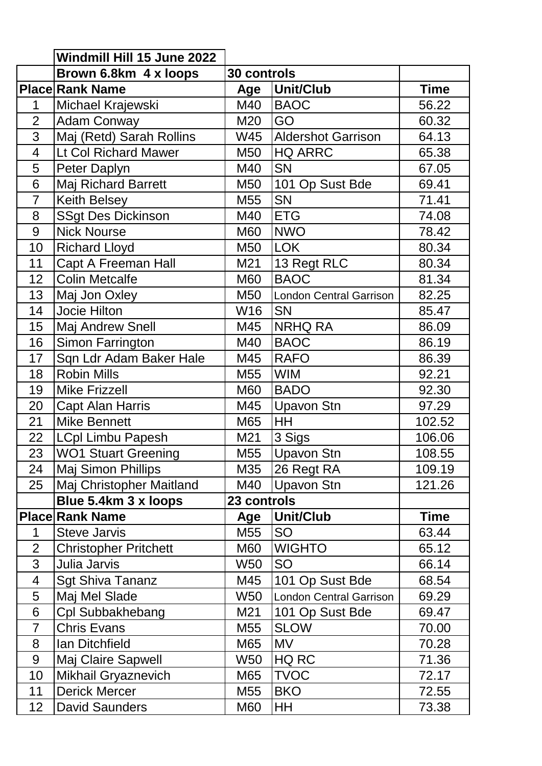|                | Windmill Hill 15 June 2022   |                    |                                |             |
|----------------|------------------------------|--------------------|--------------------------------|-------------|
|                | Brown 6.8km 4 x loops        | <b>30 controls</b> |                                |             |
|                | <b>Place Rank Name</b>       | Age                | <b>Unit/Club</b>               | <b>Time</b> |
| 1              | Michael Krajewski            | M40                | <b>BAOC</b>                    | 56.22       |
| $\overline{2}$ | <b>Adam Conway</b>           | M20                | GO                             | 60.32       |
| 3              | Maj (Retd) Sarah Rollins     | W45                | <b>Aldershot Garrison</b>      | 64.13       |
| $\overline{4}$ | Lt Col Richard Mawer         | M50                | <b>HQ ARRC</b>                 | 65.38       |
| 5              | Peter Daplyn                 | M40                | <b>SN</b>                      | 67.05       |
| 6              | Maj Richard Barrett          | M50                | 101 Op Sust Bde                | 69.41       |
| $\overline{7}$ | <b>Keith Belsey</b>          | M55                | <b>SN</b>                      | 71.41       |
| 8              | <b>SSgt Des Dickinson</b>    | M40                | <b>ETG</b>                     | 74.08       |
| 9              | <b>Nick Nourse</b>           | <b>M60</b>         | <b>NWO</b>                     | 78.42       |
| 10             | <b>Richard Lloyd</b>         | M50                | <b>LOK</b>                     | 80.34       |
| 11             | Capt A Freeman Hall          | M21                | 13 Regt RLC                    | 80.34       |
| 12             | <b>Colin Metcalfe</b>        | <b>M60</b>         | <b>BAOC</b>                    | 81.34       |
| 13             | Maj Jon Oxley                | M50                | <b>London Central Garrison</b> | 82.25       |
| 14             | <b>Jocie Hilton</b>          | W16                | SN                             | 85.47       |
| 15             | Maj Andrew Snell             | M45                | <b>NRHQ RA</b>                 | 86.09       |
| 16             | Simon Farrington             | M40                | <b>BAOC</b>                    | 86.19       |
| 17             | Sqn Ldr Adam Baker Hale      | M45                | <b>RAFO</b>                    | 86.39       |
| 18             | <b>Robin Mills</b>           | M <sub>55</sub>    | <b>WIM</b>                     | 92.21       |
| 19             | <b>Mike Frizzell</b>         | M60                | <b>BADO</b>                    | 92.30       |
| 20             | Capt Alan Harris             | M45                | <b>Upavon Stn</b>              | 97.29       |
| 21             | <b>Mike Bennett</b>          | M65                | HH                             | 102.52      |
| 22             | <b>LCpl Limbu Papesh</b>     | M21                | 3 Sigs                         | 106.06      |
| 23             | <b>WO1 Stuart Greening</b>   | M55                | <b>Upavon Stn</b>              | 108.55      |
| 24             | Maj Simon Phillips           | M35                | 26 Regt RA                     | 109.19      |
| 25             | Maj Christopher Maitland     | M40                | <b>Upavon Stn</b>              | 121.26      |
|                | Blue 5.4km 3 x loops         | 23 controls        |                                |             |
|                | <b>Place Rank Name</b>       | Age                | <b>Unit/Club</b>               | <b>Time</b> |
| 1              | <b>Steve Jarvis</b>          | M55                | <b>SO</b>                      | 63.44       |
| $\overline{2}$ | <b>Christopher Pritchett</b> | M60                | <b>WIGHTO</b>                  | 65.12       |
| 3              | Julia Jarvis                 | <b>W50</b>         | <b>SO</b>                      | 66.14       |
| $\overline{4}$ | <b>Sgt Shiva Tananz</b>      | M45                | 101 Op Sust Bde                | 68.54       |
| 5              | Maj Mel Slade                | W50                | <b>London Central Garrison</b> | 69.29       |
| 6              | Cpl Subbakhebang             | M21                | 101 Op Sust Bde                | 69.47       |
| $\overline{7}$ | <b>Chris Evans</b>           | M <sub>55</sub>    | <b>SLOW</b>                    | 70.00       |
| 8              | Ian Ditchfield               | M65                | <b>MV</b>                      | 70.28       |
| 9              | Maj Claire Sapwell           | <b>W50</b>         | HQ RC                          | 71.36       |
| 10             | <b>Mikhail Gryaznevich</b>   | M65                | <b>TVOC</b>                    | 72.17       |
| 11             | <b>Derick Mercer</b>         | M <sub>55</sub>    | <b>BKO</b>                     | 72.55       |
| 12             | <b>David Saunders</b>        | M60                | HH                             | 73.38       |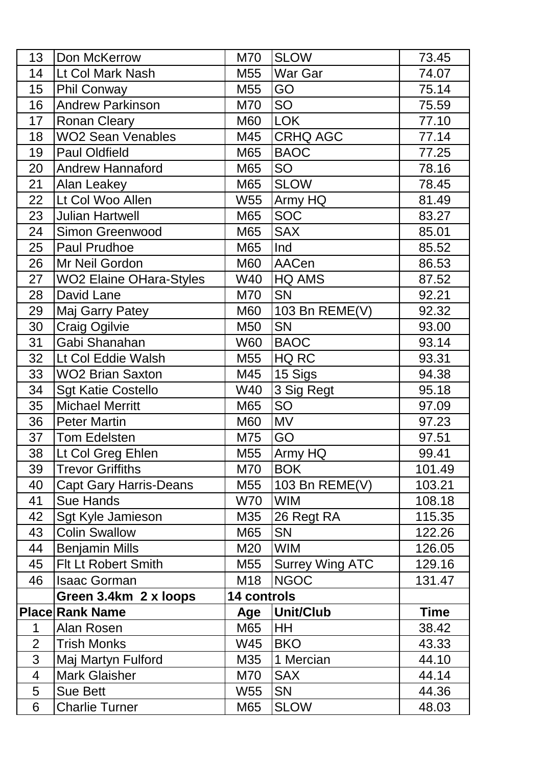| 13             | Don McKerrow                   | M70         | <b>SLOW</b>            | 73.45       |
|----------------|--------------------------------|-------------|------------------------|-------------|
| 14             | Lt Col Mark Nash               | M55         | War Gar                | 74.07       |
| 15             | <b>Phil Conway</b>             | M55         | GO                     | 75.14       |
| 16             | <b>Andrew Parkinson</b>        | M70         | SO                     | 75.59       |
| 17             | <b>Ronan Cleary</b>            | M60         | <b>LOK</b>             | 77.10       |
| 18             | <b>WO2 Sean Venables</b>       | M45         | <b>CRHQ AGC</b>        | 77.14       |
| 19             | <b>Paul Oldfield</b>           | M65         | <b>BAOC</b>            | 77.25       |
| 20             | <b>Andrew Hannaford</b>        | M65         | SO                     | 78.16       |
| 21             | Alan Leakey                    | M65         | <b>SLOW</b>            | 78.45       |
| 22             | Lt Col Woo Allen               | W55         | Army HQ                | 81.49       |
| 23             | <b>Julian Hartwell</b>         | M65         | <b>SOC</b>             | 83.27       |
| 24             | <b>Simon Greenwood</b>         | M65         | <b>SAX</b>             | 85.01       |
| 25             | Paul Prudhoe                   | M65         | Ind                    | 85.52       |
| 26             | Mr Neil Gordon                 | M60         | AACen                  | 86.53       |
| 27             | <b>WO2 Elaine OHara-Styles</b> | W40         | <b>HQ AMS</b>          | 87.52       |
| 28             | David Lane                     | M70         | <b>SN</b>              | 92.21       |
| 29             | Maj Garry Patey                | M60         | 103 Bn REME(V)         | 92.32       |
| 30             | <b>Craig Ogilvie</b>           | M50         | <b>SN</b>              | 93.00       |
| 31             | Gabi Shanahan                  | <b>W60</b>  | <b>BAOC</b>            | 93.14       |
| 32             | Lt Col Eddie Walsh             | M55         | HQ RC                  | 93.31       |
| 33             | <b>WO2 Brian Saxton</b>        | M45         | 15 Sigs                | 94.38       |
| 34             | <b>Sgt Katie Costello</b>      | W40         | 3 Sig Regt             | 95.18       |
| 35             | <b>Michael Merritt</b>         | M65         | SO                     | 97.09       |
| 36             | <b>Peter Martin</b>            | M60         | MV                     | 97.23       |
| 37             | <b>Tom Edelsten</b>            | M75         | GO                     | 97.51       |
| 38             | Lt Col Greg Ehlen              | M55         | Army HQ                | 99.41       |
| 39             | <b>Trevor Griffiths</b>        | M70         | <b>BOK</b>             | 101.49      |
| 40             | <b>Capt Gary Harris-Deans</b>  | M55         | 103 Bn REME(V)         | 103.21      |
| 41             | <b>Sue Hands</b>               | <b>W70</b>  | <b>WIM</b>             | 108.18      |
| 42             | Sgt Kyle Jamieson              | M35         | 26 Regt RA             | 115.35      |
| 43             | <b>Colin Swallow</b>           | M65         | <b>SN</b>              | 122.26      |
| 44             | <b>Benjamin Mills</b>          | M20         | <b>WIM</b>             | 126.05      |
| 45             | <b>Flt Lt Robert Smith</b>     | M55         | <b>Surrey Wing ATC</b> | 129.16      |
| 46             | <b>Isaac Gorman</b>            | M18         | <b>NGOC</b>            | 131.47      |
|                | Green 3.4km 2 x loops          | 14 controls |                        |             |
|                | <b>Place Rank Name</b>         | Age         | <b>Unit/Club</b>       | <b>Time</b> |
| 1              | Alan Rosen                     | M65         | HH                     | 38.42       |
| $\overline{2}$ | <b>Trish Monks</b>             | W45         | <b>BKO</b>             | 43.33       |
| 3              | Maj Martyn Fulford             | M35         | 1 Mercian              | 44.10       |
| $\overline{4}$ | <b>Mark Glaisher</b>           | M70         | <b>SAX</b>             | 44.14       |
| 5              | Sue Bett                       | W55         | SN                     | 44.36       |
| 6              | <b>Charlie Turner</b>          | M65         | <b>SLOW</b>            | 48.03       |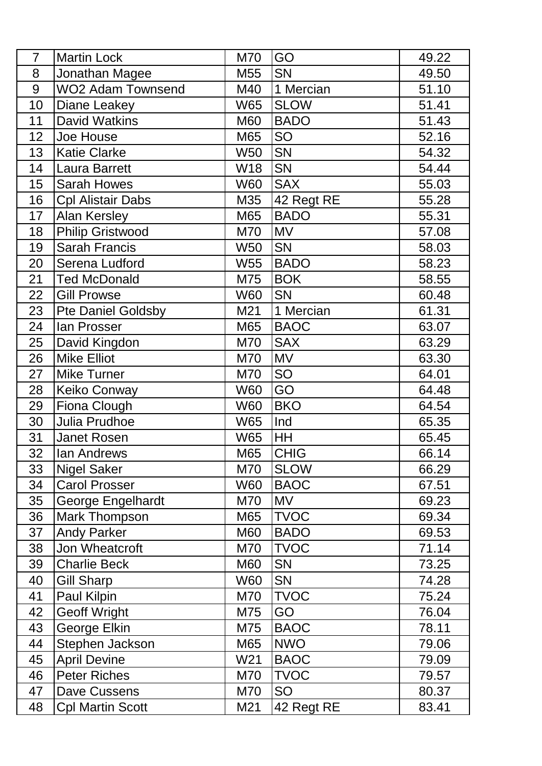| $\overline{7}$ | <b>Martin Lock</b>        | M70             | GO          | 49.22 |
|----------------|---------------------------|-----------------|-------------|-------|
| 8              | Jonathan Magee            | M <sub>55</sub> | <b>SN</b>   | 49.50 |
| 9              | <b>WO2 Adam Townsend</b>  | M40             | 1 Mercian   | 51.10 |
| 10             | Diane Leakey              | W65             | <b>SLOW</b> | 51.41 |
| 11             | <b>David Watkins</b>      | M60             | <b>BADO</b> | 51.43 |
| 12             | Joe House                 | M65             | SO          | 52.16 |
| 13             | <b>Katie Clarke</b>       | <b>W50</b>      | <b>SN</b>   | 54.32 |
| 14             | <b>Laura Barrett</b>      | W18             | SN          | 54.44 |
| 15             | <b>Sarah Howes</b>        | <b>W60</b>      | <b>SAX</b>  | 55.03 |
| 16             | <b>Cpl Alistair Dabs</b>  | M35             | 42 Regt RE  | 55.28 |
| 17             | <b>Alan Kersley</b>       | M65             | <b>BADO</b> | 55.31 |
| 18             | <b>Philip Gristwood</b>   | M70             | <b>MV</b>   | 57.08 |
| 19             | <b>Sarah Francis</b>      | <b>W50</b>      | <b>SN</b>   | 58.03 |
| 20             | Serena Ludford            | W <sub>55</sub> | <b>BADO</b> | 58.23 |
| 21             | <b>Ted McDonald</b>       | M75             | <b>BOK</b>  | 58.55 |
| 22             | <b>Gill Prowse</b>        | <b>W60</b>      | <b>SN</b>   | 60.48 |
| 23             | <b>Pte Daniel Goldsby</b> | M21             | 1 Mercian   | 61.31 |
| 24             | lan Prosser               | M65             | <b>BAOC</b> | 63.07 |
| 25             | David Kingdon             | M70             | <b>SAX</b>  | 63.29 |
| 26             | <b>Mike Elliot</b>        | M70             | <b>MV</b>   | 63.30 |
| 27             | <b>Mike Turner</b>        | M70             | <b>SO</b>   | 64.01 |
| 28             | <b>Keiko Conway</b>       | <b>W60</b>      | GO          | 64.48 |
| 29             | Fiona Clough              | <b>W60</b>      | <b>BKO</b>  | 64.54 |
| 30             | Julia Prudhoe             | W65             | Ind         | 65.35 |
| 31             | <b>Janet Rosen</b>        | W65             | HH          | 65.45 |
| 32             | Ian Andrews               | M65             | <b>CHIG</b> | 66.14 |
| 33             | <b>Nigel Saker</b>        | M70             | <b>SLOW</b> | 66.29 |
| 34             | <b>Carol Prosser</b>      | <b>W60</b>      | <b>BAOC</b> | 67.51 |
| 35             | George Engelhardt         | <b>M70</b>      | MV          | 69.23 |
| 36             | <b>Mark Thompson</b>      | M65             | <b>TVOC</b> | 69.34 |
| 37             | <b>Andy Parker</b>        | M60             | <b>BADO</b> | 69.53 |
| 38             | Jon Wheatcroft            | M70             | <b>TVOC</b> | 71.14 |
| 39             | <b>Charlie Beck</b>       | M60             | <b>SN</b>   | 73.25 |
| 40             | <b>Gill Sharp</b>         | <b>W60</b>      | <b>SN</b>   | 74.28 |
| 41             | Paul Kilpin               | M70             | <b>TVOC</b> | 75.24 |
| 42             | <b>Geoff Wright</b>       | M75             | GO          | 76.04 |
| 43             | George Elkin              | M75             | <b>BAOC</b> | 78.11 |
| 44             | Stephen Jackson           | M65             | <b>NWO</b>  | 79.06 |
| 45             | <b>April Devine</b>       | W21             | <b>BAOC</b> | 79.09 |
| 46             | <b>Peter Riches</b>       | M70             | <b>TVOC</b> | 79.57 |
| 47             | Dave Cussens              | M70             | <b>SO</b>   | 80.37 |
| 48             | <b>Cpl Martin Scott</b>   | M21             | 42 Regt RE  | 83.41 |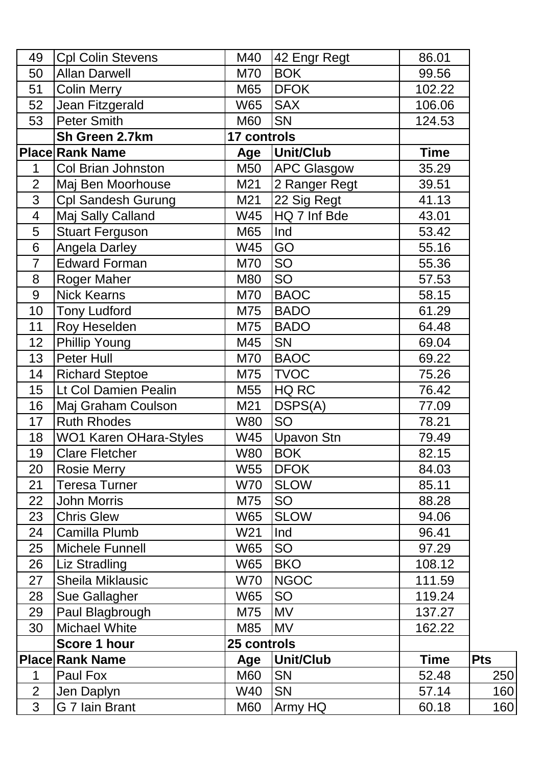| 49              | <b>Cpl Colin Stevens</b>      | M40                | 42 Engr Regt       | 86.01       |            |
|-----------------|-------------------------------|--------------------|--------------------|-------------|------------|
| 50              | <b>Allan Darwell</b>          | M70                | <b>BOK</b>         | 99.56       |            |
| 51              | <b>Colin Merry</b>            | M65                | <b>DFOK</b>        | 102.22      |            |
| 52              | Jean Fitzgerald               | W65                | <b>SAX</b>         | 106.06      |            |
| 53              | <b>Peter Smith</b>            | M60                | <b>SN</b>          | 124.53      |            |
|                 | Sh Green 2.7km                | 17 controls        |                    |             |            |
|                 | <b>Place Rank Name</b>        | Age                | Unit/Club          | <b>Time</b> |            |
| $\mathbf 1$     | Col Brian Johnston            | M50                | <b>APC Glasgow</b> | 35.29       |            |
| $\overline{2}$  | Maj Ben Moorhouse             | M21                | 2 Ranger Regt      | 39.51       |            |
| 3               | <b>Cpl Sandesh Gurung</b>     | M21                | 22 Sig Regt        | 41.13       |            |
| $\overline{4}$  | Maj Sally Calland             | W45                | HQ 7 Inf Bde       | 43.01       |            |
| 5               | <b>Stuart Ferguson</b>        | M65                | Ind                | 53.42       |            |
| 6               | Angela Darley                 | W45                | GO                 | 55.16       |            |
| $\overline{7}$  | <b>Edward Forman</b>          | M70                | SO                 | 55.36       |            |
| 8               | <b>Roger Maher</b>            | <b>M80</b>         | SO                 | 57.53       |            |
| 9               | <b>Nick Kearns</b>            | M70                | <b>BAOC</b>        | 58.15       |            |
| 10              | <b>Tony Ludford</b>           | M75                | <b>BADO</b>        | 61.29       |            |
| 11              | Roy Heselden                  | M75                | <b>BADO</b>        | 64.48       |            |
| 12              | <b>Phillip Young</b>          | M45                | <b>SN</b>          | 69.04       |            |
| 13              | Peter Hull                    | M70                | <b>BAOC</b>        | 69.22       |            |
| 14              | <b>Richard Steptoe</b>        | M75                | <b>TVOC</b>        | 75.26       |            |
| 15 <sub>1</sub> | Lt Col Damien Pealin          | M <sub>55</sub>    | HQ RC              | 76.42       |            |
| 16              | Maj Graham Coulson            | M21                | DSPS(A)            | 77.09       |            |
| 17              | <b>Ruth Rhodes</b>            | <b>W80</b>         | SO                 | 78.21       |            |
| 18              | <b>WO1 Karen OHara-Styles</b> | W45                | <b>Upavon Stn</b>  | 79.49       |            |
| 19              | <b>Clare Fletcher</b>         | W80                | <b>BOK</b>         | 82.15       |            |
| 20              | <b>Rosie Merry</b>            | W55                | <b>DFOK</b>        | 84.03       |            |
| 21              | <b>Teresa Turner</b>          | <b>W70</b>         | <b>SLOW</b>        | 85.11       |            |
| 22              | <b>John Morris</b>            | M75                | <b>SO</b>          | 88.28       |            |
| 23              | <b>Chris Glew</b>             | <b>W65</b>         | <b>SLOW</b>        | 94.06       |            |
| 24              | Camilla Plumb                 | W21                | Ind                | 96.41       |            |
| 25              | Michele Funnell               | W65                | SO                 | 97.29       |            |
| 26              | Liz Stradling                 | W65                | <b>BKO</b>         | 108.12      |            |
| 27              | <b>Sheila Miklausic</b>       | <b>W70</b>         | <b>NGOC</b>        | 111.59      |            |
| 28              | Sue Gallagher                 | W65                | SO                 | 119.24      |            |
| 29              | Paul Blagbrough               | M75                | <b>MV</b>          | 137.27      |            |
| 30              | <b>Michael White</b>          | M85                | <b>MV</b>          | 162.22      |            |
|                 | Score 1 hour                  | <b>25 controls</b> |                    |             |            |
|                 | <b>Place Rank Name</b>        | Age                | <b>Unit/Club</b>   | <b>Time</b> | <b>Pts</b> |
| $\mathbf 1$     | Paul Fox                      | <b>M60</b>         | <b>SN</b>          | 52.48       | 250        |
| $\overline{2}$  | Jen Daplyn                    | <b>W40</b>         | SN                 | 57.14       | 160        |
| $\mathbf{3}$    | G 7 Iain Brant                | M60                | Army HQ            | 60.18       | 160        |
|                 |                               |                    |                    |             |            |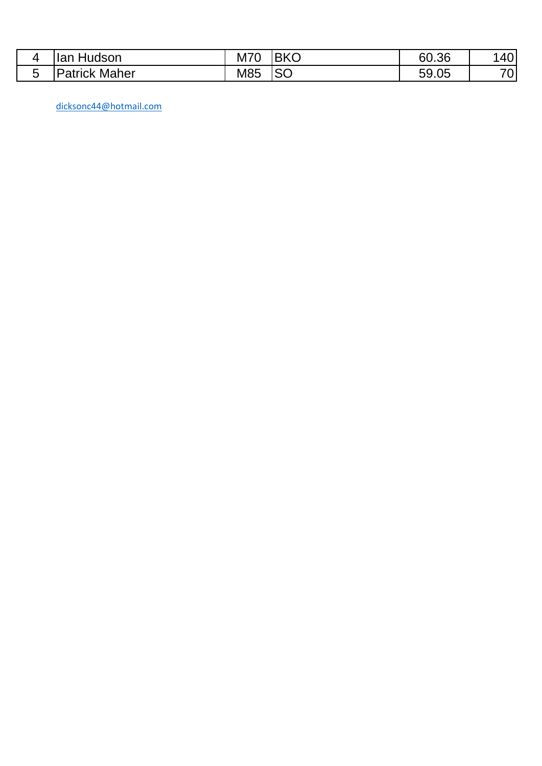| lan<br>Hudson                  | M7C<br>◡ | <b>RKO</b> | 60.36 | 40              |
|--------------------------------|----------|------------|-------|-----------------|
| . Maher<br>∽<br><b>Patrick</b> | M85      | , ص        | 59.05 | 70 <sub>1</sub> |

[dicksonc44@hotmail.com](mailto:dicksonc44@hotmail.com)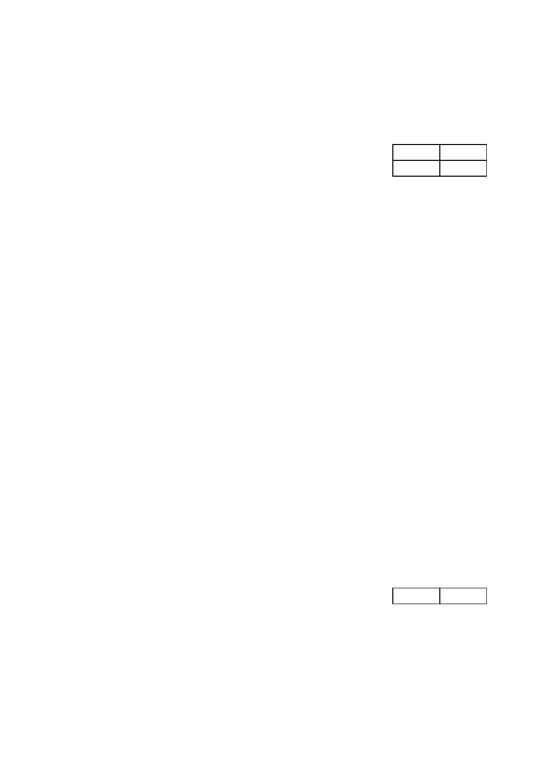